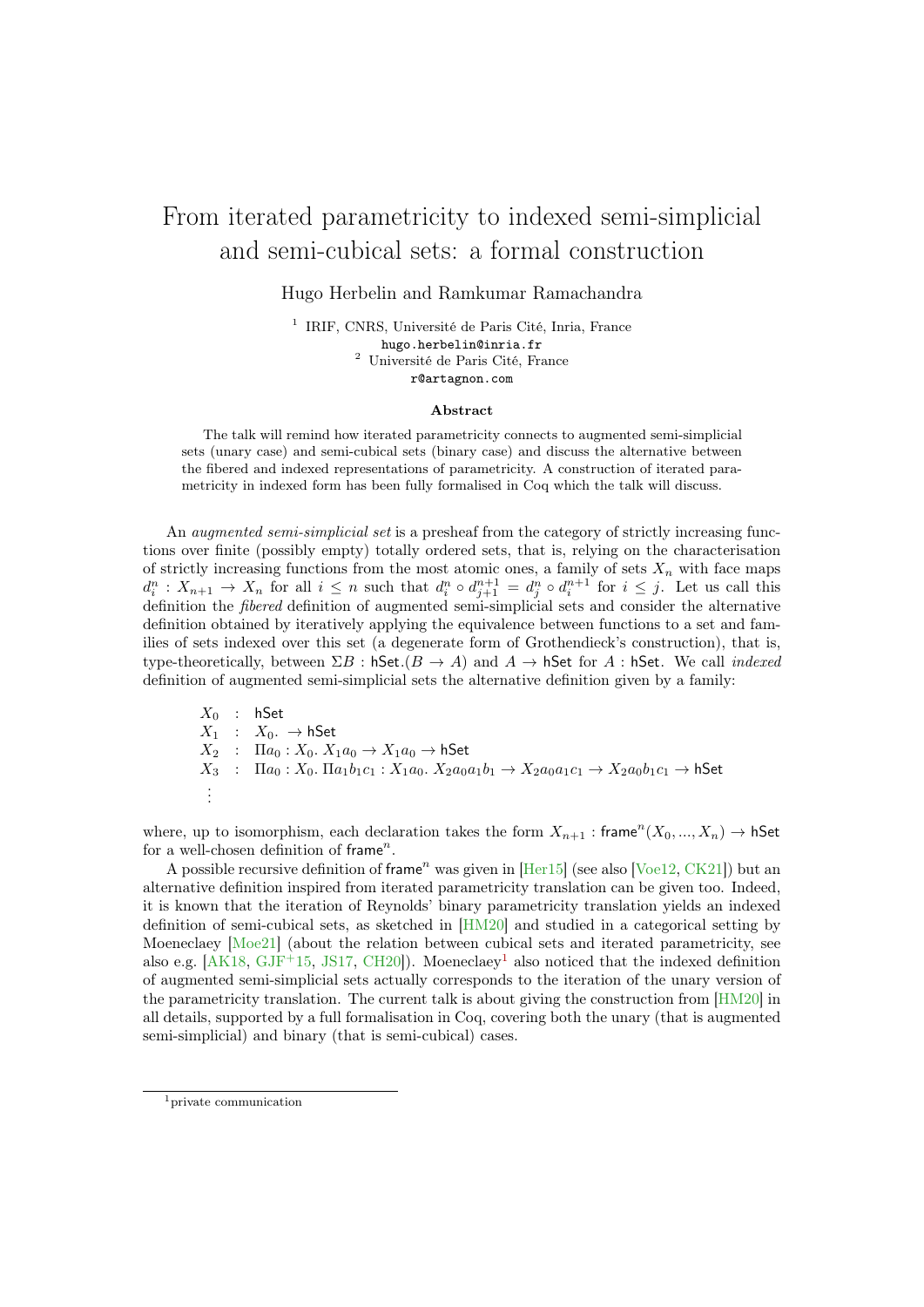## From iterated parametricity to indexed semi-simplicial and semi-cubical sets: a formal construction

Hugo Herbelin and Ramkumar Ramachandra

1 IRIF, CNRS, Université de Paris Cité, Inria, France hugo.herbelin@inria.fr <sup>2</sup> Université de Paris Cité, France r@artagnon.com

## Abstract

The talk will remind how iterated parametricity connects to augmented semi-simplicial sets (unary case) and semi-cubical sets (binary case) and discuss the alternative between the fibered and indexed representations of parametricity. A construction of iterated parametricity in indexed form has been fully formalised in Coq which the talk will discuss.

An *augmented semi-simplicial set* is a presheaf from the category of strictly increasing functions over finite (possibly empty) totally ordered sets, that is, relying on the characterisation of strictly increasing functions from the most atomic ones, a family of sets  $X_n$  with face maps  $d_i^n: X_{n+1} \to X_n$  for all  $i \leq n$  such that  $d_i^n \circ d_{j+1}^{n+1} = d_j^n \circ d_i^{n+1}$  for  $i \leq j$ . Let us call this definition the *fibered* definition of augmented semi-simplicial sets and consider the alternative definition obtained by iteratively applying the equivalence between functions to a set and families of sets indexed over this set (a degenerate form of Grothendieck's construction), that is, type-theoretically, between  $\Sigma B$ : hSet. $(B \to A)$  and  $A \to$  hSet for A : hSet. We call *indexed* definition of augmented semi-simplicial sets the alternative definition given by a family:

$$
X_0 : hSet
$$
  
\n $X_1 : X_0. \rightarrow hSet$   
\n $X_2 : \Pi a_0 : X_0. X_1 a_0 \rightarrow X_1 a_0 \rightarrow hSet$   
\n $X_3 : \Pi a_0 : X_0. \Pi a_1 b_1 c_1 : X_1 a_0. X_2 a_0 a_1 b_1 \rightarrow X_2 a_0 a_1 c_1 \rightarrow X_2 a_0 b_1 c_1 \rightarrow hSet$   
\n $\vdots$ 

where, up to isomorphism, each declaration takes the form  $X_{n+1}$  : frame  $(X_0, ..., X_n) \to \mathsf{hSet}$ for a well-chosen definition of frame".

A possible recursive definition of frame<sup>n</sup> was given in  $[Her15]$  (see also [\[Voe12,](#page-2-1) [CK21\]](#page-2-2)) but an alternative definition inspired from iterated parametricity translation can be given too. Indeed, it is known that the iteration of Reynolds' binary parametricity translation yields an indexed definition of semi-cubical sets, as sketched in [\[HM20\]](#page-2-3) and studied in a categorical setting by Moeneclaey [\[Moe21\]](#page-2-4) (about the relation between cubical sets and iterated parametricity, see also e.g.  $[AK18, GJF<sup>+</sup>15, JS17, CH20]$  $[AK18, GJF<sup>+</sup>15, JS17, CH20]$  $[AK18, GJF<sup>+</sup>15, JS17, CH20]$  $[AK18, GJF<sup>+</sup>15, JS17, CH20]$  $[AK18, GJF<sup>+</sup>15, JS17, CH20]$  $[AK18, GJF<sup>+</sup>15, JS17, CH20]$  $[AK18, GJF<sup>+</sup>15, JS17, CH20]$ . Moeneclaev<sup>[1](#page-0-0)</sup> also noticed that the indexed definition of augmented semi-simplicial sets actually corresponds to the iteration of the unary version of the parametricity translation. The current talk is about giving the construction from [\[HM20\]](#page-2-3) in all details, supported by a full formalisation in Coq, covering both the unary (that is augmented semi-simplicial) and binary (that is semi-cubical) cases.

<span id="page-0-0"></span><sup>1</sup>private communication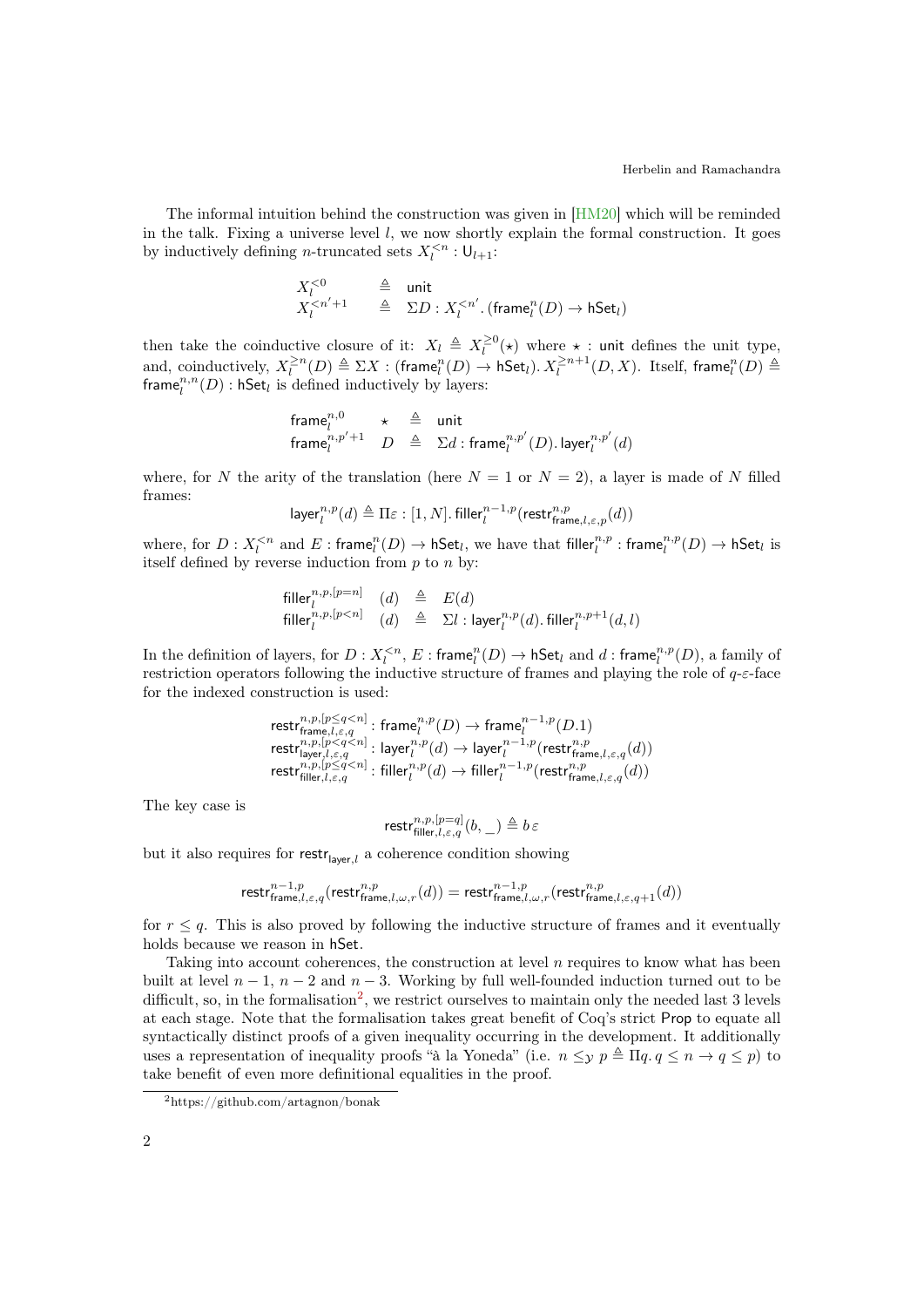The informal intuition behind the construction was given in [\[HM20\]](#page-2-3) which will be reminded in the talk. Fixing a universe level  $l$ , we now shortly explain the formal construction. It goes by inductively defining *n*-truncated sets  $X_l^{< n} : \mathsf{U}_{l+1}:$ 

$$
\begin{array}{ccc} X_l^{<0} & \triangleq & \text{unit} \\ X_l^{
$$

then take the coinductive closure of it:  $X_l \triangleq X_l^{\geq 0}(\star)$  where  $\star$  : unit defines the unit type, and, coinductively,  $X_l^{\geq n}(D) \triangleq \Sigma X$  : (frame $_l^n(D) \to \mathsf{hSet}_l$ ).  $X_l^{\geq n+1}(D,X)$ . Itself, frame $_l^n(D) \triangleq$ frame $_l^{n,n}(D)$ : hSet<sub>l</sub> is defined inductively by layers:

$$
\begin{array}{lclcl} \textup{frame}^{n,0}_{l} & \star & \triangleq & \textup{unit} \\ \textup{frame}^{n,p'+1}_{l} & D & \triangleq & \Sigma d : \textup{frame}^{n,p'}_{l}(D).\textup{layer}^{n,p'}_{l}(d) \end{array}
$$

where, for N the arity of the translation (here  $N = 1$  or  $N = 2$ ), a layer is made of N filled frames:

$$
\mathsf{layer}_l^{n,p}(d) \triangleq \Pi \varepsilon : [1,N].\, \mathsf{filler}_l^{n-1,p}(\mathsf{restr}_{\mathsf{frame},l,\varepsilon,p}^{n,p}(d))
$$

where, for  $D: X_l^{ and  $E: \mathsf{frame}_l^n(D) \to \mathsf{hSet}_l$ , we have that  $\mathsf{filler}_l^{n,p} : \mathsf{frame}_l^{n,p}(D) \to \mathsf{hSet}_l$  is$ itself defined by reverse induction from  $p$  to  $n$  by:

$$
\begin{array}{llll}\n\text{filler}_{l}^{n,p,[p=n]} & (d) & \triangleq & E(d) \\
\text{filler}_{l}^{n,p,[p
$$

In the definition of layers, for  $D: X_l^{ and  $d: \mathsf{frame}_l^{n,p}(D)$ , a family of$ restriction operators following the inductive structure of frames and playing the role of  $q$ - $\varepsilon$ -face for the indexed construction is used:

$$
\begin{array}{l} \mathsf{restr}_{\mathsf{frame},l,\varepsilon,q}^{n,p,[p\leq q
$$

The key case is

$$
\mathrm{restr}^{n,p,[p=q]}_{\mathrm{filler},l,\varepsilon,q}(b,\hspace{0.05cm}\underline{\ \ }\hspace{0.1cm} )\triangleq b\hspace{0.05cm}\varepsilon
$$

but it also requires for restr<sub>layer,l</sub> a coherence condition showing

$$
\textup{restr}_{\textup{frame},l,\varepsilon,q}^{n-1,p}(\textup{restr}_{\textup{frame},l,\omega,r}^{n,p}(d))=\textup{restr}_{\textup{frame},l,\omega,r}^{n-1,p}(\textup{restr}_{\textup{frame},l,\varepsilon,q+1}^{n,p}(d))
$$

for  $r \leq q$ . This is also proved by following the inductive structure of frames and it eventually holds because we reason in hSet.

Taking into account coherences, the construction at level  $n$  requires to know what has been built at level  $n-1$ ,  $n-2$  and  $n-3$ . Working by full well-founded induction turned out to be difficult, so, in the formalisation<sup>[2](#page-1-0)</sup>, we restrict ourselves to maintain only the needed last 3 levels at each stage. Note that the formalisation takes great benefit of Coq's strict Prop to equate all syntactically distinct proofs of a given inequality occurring in the development. It additionally uses a representation of inequality proofs "à la Yoneda" (i.e.  $n \leq y \ p \triangleq \Pi q$ ,  $q \leq n \to q \leq p$ ) to take benefit of even more definitional equalities in the proof.

<span id="page-1-0"></span><sup>2</sup>https://github.com/artagnon/bonak